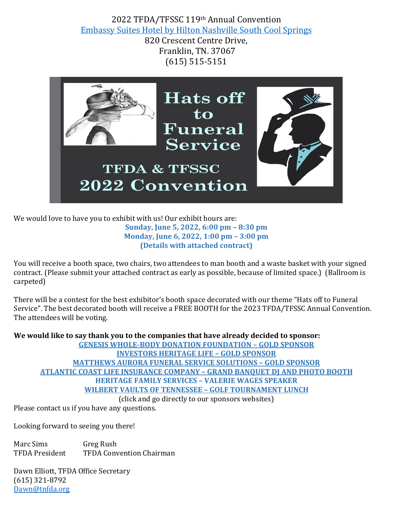2022 TFDA/TFSSC 119th Annual Convention Embassy Suites Hotel [by Hilton Nashville South Cool Springs](https://www.hilton.com/en/hotels/bnafles-embassy-suites-nashville-south-cool-springs/rooms/)

> 820 Crescent Centre Drive, Franklin, TN. 37067 (615) 515-5151



We would love to have you to exhibit with us! Our exhibit hours are: **Sunday, June 5, 2022, 6:00 pm – 8:30 pm Monday, June 6, 2022, 1:00 pm – 3:00 pm (Details with attached contract)**

You will receive a booth space, two chairs, two attendees to man booth and a waste basket with your signed contract. (Please submit your attached contract as early as possible, because of limited space.) (Ballroom is carpeted)

There will be a contest for the best exhibitor's booth space decorated with our theme "Hats off to Funeral Service". The best decorated booth will receive a FREE BOOTH for the 2023 TFDA/TFSSC Annual Convention. The attendees will be voting.

**We would like to say thank you to the companies that have already decided to sponsor: [GENESIS WHOLE-BODY DONATION FOUNDATION](https://www.genesislegacy.org/) – GOLD SPONSOR [INVESTORS HERITAGE LIFE](https://investorsheritage.com/) – GOLD SPONSOR [MATTHEWS AURORA FUNERAL SERVICE SOLUTIONS](https://matthewsaurora.com/) – GOLD SPONSOR [ATLANTIC COAST LIFE INSURANCE COMPANY](https://aclico.com/) – GRAND BANQUET DJ AND PHOTO BOOTH HERITAGE FAMILY SERVICES – VALERIE WAGES SPEAKER [WILBERT VAULTS OF TENNESSEE](https://www.nashvillewilbert.com/) – GOLF TOURNAMENT LUNCH** (click and go directly to our sponsors websites)

Please contact us if you have any questions.

Looking forward to seeing you there!

Marc Sims Greg Rush TFDA President TFDA Convention Chairman

Dawn Elliott, TFDA Office Secretary (615) 321-8792 [Dawn@tnfda.org](mailto:Dawn@tnfda.org)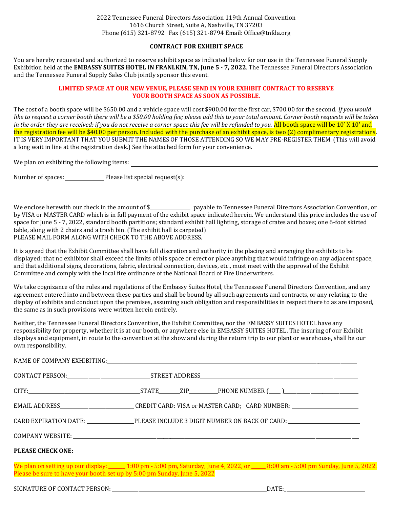#### **CONTRACT FOR EXHIBIT SPACE**

You are hereby requested and authorized to reserve exhibit space as indicated below for our use in the Tennessee Funeral Supply Exhibition held at the **EMBASSY SUITES HOTEL IN FRANLKIN, TN, June 5 - 7, 2022**. The Tennessee Funeral Directors Association and the Tennessee Funeral Supply Sales Club jointly sponsor this event.

#### **LIMITED SPACE AT OUR NEW VENUE, PLEASE SEND IN YOUR EXHIBIT CONTRACT TO RESERVE YOUR BOOTH SPACE AS SOON AS POSSIBLE.**

The cost of a booth space will be \$650.00 and a vehicle space will cost \$900.00 for the first car, \$700.00 for the second. *If you would like to request a corner booth there will be a \$50.00 holding fee; please add this to your total amount. Corner booth requests will be taken in the order they are received; if you do not receive a corner space this fee will be refunded to you.* All booth space will be 10' X 10' and the registration fee will be \$40.00 per person. Included with the purchase of an exhibit space, is two (2) complimentary registrations. IT IS VERY IMPORTANT THAT YOU SUBMIT THE NAMES OF THOSE ATTENDING SO WE MAY PRE-REGISTER THEM. (This will avoid a long wait in line at the registration desk.) See the attached form for your convenience.

We plan on exhibiting the following items:

| Number of spaces: | Please list special request(s): |
|-------------------|---------------------------------|
|                   |                                 |

We enclose herewith our check in the amount of \$\_\_\_\_\_\_\_\_\_\_\_\_\_\_\_\_\_ payable to Tennessee Funeral Directors Association Convention, or by VISA or MASTER CARD which is in full payment of the exhibit space indicated herein. We understand this price includes the use of space for June 5 - 7, 2022, standard booth partitions; standard exhibit hall lighting, storage of crates and boxes; one 6-foot skirted table, along with 2 chairs and a trash bin. (The exhibit hall is carpeted) PLEASE MAIL FORM ALONG WITH CHECK TO THE ABOVE ADDRESS.

It is agreed that the Exhibit Committee shall have full discretion and authority in the placing and arranging the exhibits to be displayed; that no exhibitor shall exceed the limits of his space or erect or place anything that would infringe on any adjacent space, and that additional signs, decorations, fabric, electrical connection, devices, etc., must meet with the approval of the Exhibit Committee and comply with the local fire ordinance of the National Board of Fire Underwriters.

We take cognizance of the rules and regulations of the Embassy Suites Hotel, the Tennessee Funeral Directors Convention, and any agreement entered into and between these parties and shall be bound by all such agreements and contracts, or any relating to the display of exhibits and conduct upon the premises, assuming such obligation and responsibilities in respect there to as are imposed, the same as in such provisions were written herein entirely.

Neither, the Tennessee Funeral Directors Convention, the Exhibit Committee, nor the EMBASSY SUITES HOTEL have any responsibility for property, whether it is at our booth, or anywhere else in EMBASSY SUITES HOTEL. The insuring of our Exhibit displays and equipment, in route to the convention at the show and during the return trip to our plant or warehouse, shall be our own responsibility.

|                                                                          | CARD EXPIRATION DATE: PLEASE INCLUDE 3 DIGIT NUMBER ON BACK OF CARD:                                                                |  |  |  |  |  |  |
|--------------------------------------------------------------------------|-------------------------------------------------------------------------------------------------------------------------------------|--|--|--|--|--|--|
|                                                                          |                                                                                                                                     |  |  |  |  |  |  |
| <b>PLEASE CHECK ONE:</b>                                                 |                                                                                                                                     |  |  |  |  |  |  |
| Please be sure to have your booth set up by 5:00 pm Sunday, June 5, 2022 | We plan on setting up our display: _____ 1:00 pm - 5:00 pm, Saturday, June 4, 2022, or ____ 8:00 am - 5:00 pm Sunday, June 5, 2022. |  |  |  |  |  |  |

SIGNATURE OF CONTACT PERSON: \_\_\_\_\_\_\_\_\_\_\_\_\_\_\_\_\_\_\_\_\_\_\_\_\_\_\_\_\_\_\_\_\_\_\_\_\_\_\_\_\_\_\_\_\_\_\_\_\_\_\_\_\_\_\_\_\_\_\_\_\_\_\_\_\_DATE:\_\_\_\_\_\_\_\_\_\_\_\_\_\_\_\_\_\_\_\_\_\_\_\_\_\_\_\_\_\_\_\_\_\_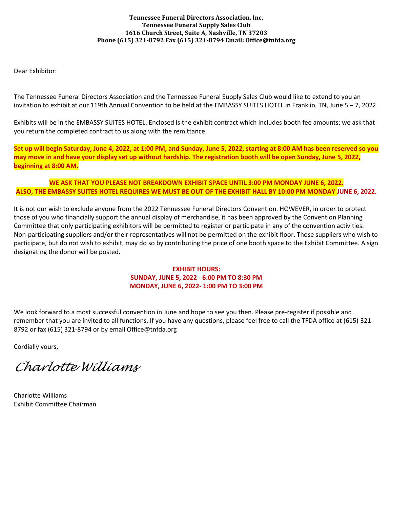#### **Tennessee Funeral Directors Association, Inc. Tennessee Funeral Supply Sales Club 1616 Church Street, Suite A, Nashville, TN 37203 Phone (615) 321-8792 Fax (615) 321-8794 Email: Office@tnfda.org**

Dear Exhibitor:

The Tennessee Funeral Directors Association and the Tennessee Funeral Supply Sales Club would like to extend to you an invitation to exhibit at our 119th Annual Convention to be held at the EMBASSY SUITES HOTEL in Franklin, TN, June 5 – 7, 2022.

Exhibits will be in the EMBASSY SUITES HOTEL. Enclosed is the exhibit contract which includes booth fee amounts; we ask that you return the completed contract to us along with the remittance.

**Set up will begin Saturday, June 4, 2022, at 1:00 PM, and Sunday, June 5, 2022, starting at 8:00 AM has been reserved so you may move in and have your display set up without hardship. The registration booth will be open Sunday, June 5, 2022, beginning at 8:00 AM.**

#### **WE ASK THAT YOU PLEASE NOT BREAKDOWN EXHIBIT SPACE UNTIL 3:00 PM MONDAY JUNE 6, 2022. ALSO, THE EMBASSY SUITES HOTEL REQUIRES WE MUST BE OUT OF THE EXHIBIT HALL BY 10:00 PM MONDAY JUNE 6, 2022.**

It is not our wish to exclude anyone from the 2022 Tennessee Funeral Directors Convention. HOWEVER, in order to protect those of you who financially support the annual display of merchandise, it has been approved by the Convention Planning Committee that only participating exhibitors will be permitted to register or participate in any of the convention activities. Non-participating suppliers and/or their representatives will not be permitted on the exhibit floor. Those suppliers who wish to participate, but do not wish to exhibit, may do so by contributing the price of one booth space to the Exhibit Committee. A sign designating the donor will be posted.

## **EXHIBIT HOURS: SUNDAY, JUNE 5, 2022 - 6:00 PM TO 8:30 PM MONDAY, JUNE 6, 2022- 1:00 PM TO 3:00 PM**

We look forward to a most successful convention in June and hope to see you then. Please pre-register if possible and remember that you are invited to all functions. If you have any questions, please feel free to call the TFDA office at (615) 321- 8792 or fax (615) 321-8794 or by email Office@tnfda.org

Cordially yours,

*Charlotte Williams* 

Charlotte Williams Exhibit Committee Chairman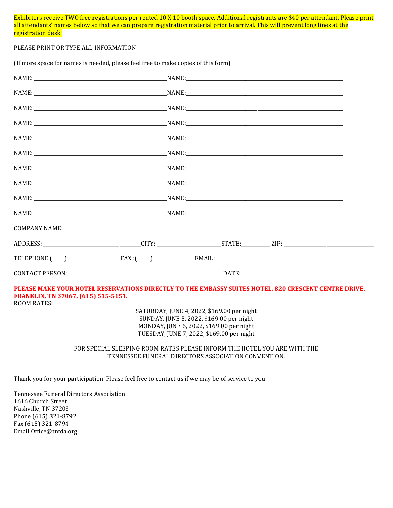Exhibitors receive TWO free registrations per rented 10 X 10 booth space. Additional registrants are \$40 per attendant. Please print all attendants' names below so that we can prepare registration material prior to arrival. This will prevent long lines at the registration desk.

#### PLEASE PRINT OR TYPE ALL INFORMATION

(If more space for names is needed, please feel free to make copies of this form)

#### **PLEASE MAKE YOUR HOTEL RESERVATIONS DIRECTLY TO THE EMBASSY SUITES HOTEL, 820 CRESCENT CENTRE DRIVE, FRANKLIN, TN 37067, (615) 515-5151.** ROOM RATES:

SATURDAY, JUNE 4, 2022, \$169.00 per night SUNDAY, JUNE 5, 2022, \$169.00 per night MONDAY, JUNE 6, 2022, \$169.00 per night TUESDAY, JUNE 7, 2022, \$169.00 per night

#### FOR SPECIAL SLEEPING ROOM RATES PLEASE INFORM THE HOTEL YOU ARE WITH THE TENNESSEE FUNERAL DIRECTORS ASSOCIATION CONVENTION.

Thank you for your participation. Please feel free to contact us if we may be of service to you.

Tennessee Funeral Directors Association 1616 Church Street Nashville, TN 37203 Phone (615) 321-8792 Fax (615) 321-8794 Email Office@tnfda.org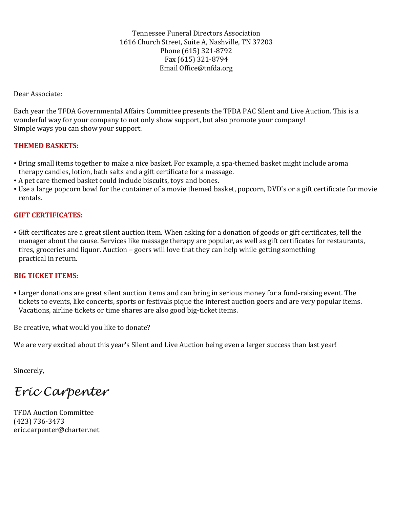Tennessee Funeral Directors Association 1616 Church Street, Suite A, Nashville, TN 37203 Phone (615) 321-8792 Fax (615) 321-8794 Email Office@tnfda.org

Dear Associate:

Each year the TFDA Governmental Affairs Committee presents the TFDA PAC Silent and Live Auction. This is a wonderful way for your company to not only show support, but also promote your company! Simple ways you can show your support.

## **THEMED BASKETS:**

- Bring small items together to make a nice basket. For example, a spa-themed basket might include aroma therapy candles, lotion, bath salts and a gift certificate for a massage.
- A pet care themed basket could include biscuits, toys and bones.
- Use a large popcorn bowl for the container of a movie themed basket, popcorn, DVD's or a gift certificate for movie rentals.

## **GIFT CERTIFICATES:**

• Gift certificates are a great silent auction item. When asking for a donation of goods or gift certificates, tell the manager about the cause. Services like massage therapy are popular, as well as gift certificates for restaurants, tires, groceries and liquor. Auction – goers will love that they can help while getting something practical in return.

### **BIG TICKET ITEMS:**

• Larger donations are great silent auction items and can bring in serious money for a fund-raising event. The tickets to events, like concerts, sports or festivals pique the interest auction goers and are very popular items. Vacations, airline tickets or time shares are also good big-ticket items.

Be creative, what would you like to donate?

We are very excited about this year's Silent and Live Auction being even a larger success than last year!

Sincerely,

*Eric Carpenter*

TFDA Auction Committee (423) 736-3473 eric.carpenter@charter.net